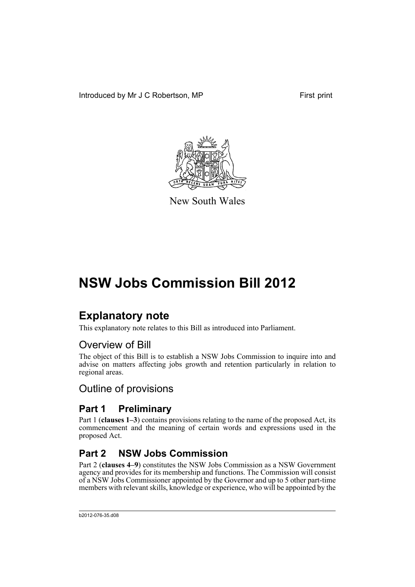Introduced by Mr J C Robertson, MP First print



New South Wales

# **NSW Jobs Commission Bill 2012**

## **Explanatory note**

This explanatory note relates to this Bill as introduced into Parliament.

### Overview of Bill

The object of this Bill is to establish a NSW Jobs Commission to inquire into and advise on matters affecting jobs growth and retention particularly in relation to regional areas.

### Outline of provisions

### **Part 1 Preliminary**

Part 1 (**clauses 1–3**) contains provisions relating to the name of the proposed Act, its commencement and the meaning of certain words and expressions used in the proposed Act.

### **Part 2 NSW Jobs Commission**

Part 2 (**clauses 4–9**) constitutes the NSW Jobs Commission as a NSW Government agency and provides for its membership and functions. The Commission will consist of a NSW Jobs Commissioner appointed by the Governor and up to 5 other part-time members with relevant skills, knowledge or experience, who will be appointed by the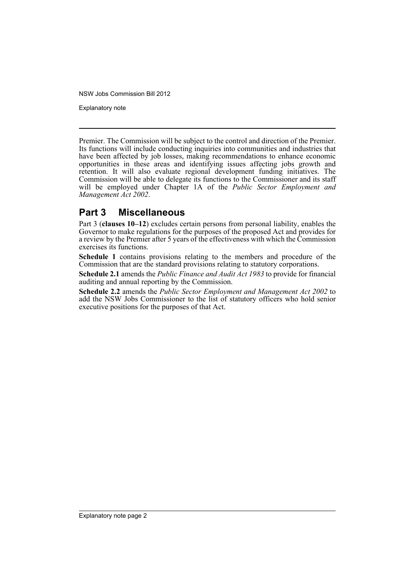Explanatory note

Premier. The Commission will be subject to the control and direction of the Premier. Its functions will include conducting inquiries into communities and industries that have been affected by job losses, making recommendations to enhance economic opportunities in these areas and identifying issues affecting jobs growth and retention. It will also evaluate regional development funding initiatives. The Commission will be able to delegate its functions to the Commissioner and its staff will be employed under Chapter 1A of the *Public Sector Employment and Management Act 2002*.

### **Part 3 Miscellaneous**

Part 3 (**clauses 10–12**) excludes certain persons from personal liability, enables the Governor to make regulations for the purposes of the proposed Act and provides for a review by the Premier after 5 years of the effectiveness with which the Commission exercises its functions.

**Schedule 1** contains provisions relating to the members and procedure of the Commission that are the standard provisions relating to statutory corporations.

**Schedule 2.1** amends the *Public Finance and Audit Act 1983* to provide for financial auditing and annual reporting by the Commission.

**Schedule 2.2** amends the *Public Sector Employment and Management Act 2002* to add the NSW Jobs Commissioner to the list of statutory officers who hold senior executive positions for the purposes of that Act.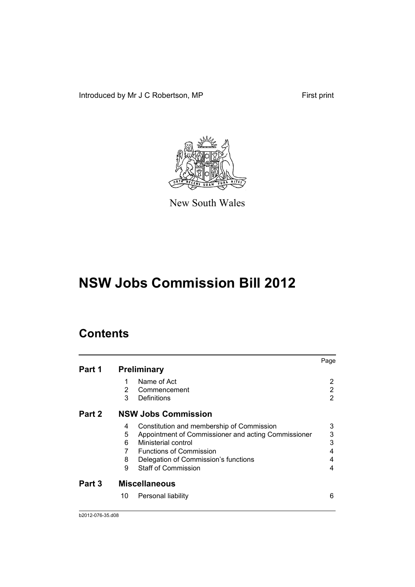Introduced by Mr J C Robertson, MP First print



New South Wales

# **NSW Jobs Commission Bill 2012**

### **Contents**

|        |    |                                                     | Page |
|--------|----|-----------------------------------------------------|------|
| Part 1 |    | <b>Preliminary</b>                                  |      |
|        |    | Name of Act                                         | 2    |
|        | 2  | Commencement                                        | 2    |
|        | 3  | Definitions                                         | 2    |
| Part 2 |    | <b>NSW Jobs Commission</b>                          |      |
|        | 4  | Constitution and membership of Commission           | 3    |
|        | 5  | Appointment of Commissioner and acting Commissioner | 3    |
|        | 6  | Ministerial control                                 | 3    |
|        |    | <b>Functions of Commission</b>                      | 4    |
|        | 8  | Delegation of Commission's functions                | 4    |
|        | 9  | <b>Staff of Commission</b>                          | 4    |
| Part 3 |    | <b>Miscellaneous</b>                                |      |
|        | 10 | Personal liability                                  | 6    |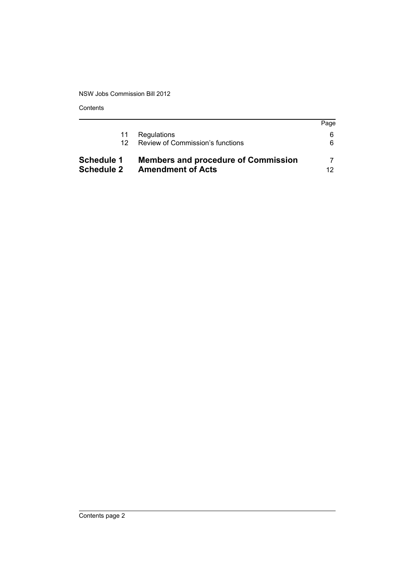Contents

| 12.<br>Schedule 1 | Review of Commission's functions<br><b>Members and procedure of Commission</b> | 6.  |
|-------------------|--------------------------------------------------------------------------------|-----|
| <b>Schedule 2</b> | <b>Amendment of Acts</b>                                                       | 12. |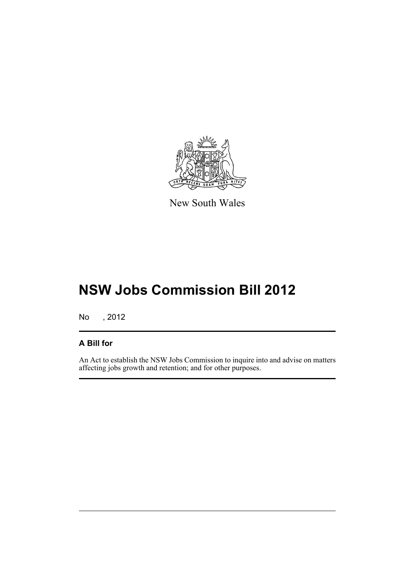

New South Wales

# **NSW Jobs Commission Bill 2012**

No , 2012

#### **A Bill for**

An Act to establish the NSW Jobs Commission to inquire into and advise on matters affecting jobs growth and retention; and for other purposes.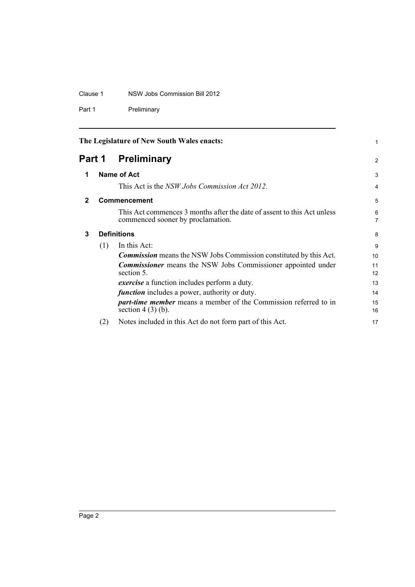#### Clause 1 NSW Jobs Commission Bill 2012

Part 1 Preliminary

<span id="page-5-3"></span><span id="page-5-2"></span><span id="page-5-1"></span><span id="page-5-0"></span>

| The Legislature of New South Wales enacts: |     | 1                                                                                                            |                     |
|--------------------------------------------|-----|--------------------------------------------------------------------------------------------------------------|---------------------|
| Part 1                                     |     | <b>Preliminary</b>                                                                                           | 2                   |
| 1                                          |     | Name of Act                                                                                                  | 3                   |
|                                            |     | This Act is the NSW Jobs Commission Act 2012.                                                                | 4                   |
| $\mathbf{2}$                               |     | <b>Commencement</b>                                                                                          | 5                   |
|                                            |     | This Act commences 3 months after the date of assent to this Act unless<br>commenced sooner by proclamation. | 6<br>$\overline{7}$ |
| 3                                          |     | <b>Definitions</b>                                                                                           | 8                   |
|                                            | (1) | In this Act:                                                                                                 | 9                   |
|                                            |     | <b>Commission</b> means the NSW Jobs Commission constituted by this Act.                                     | 10                  |
|                                            |     | <b>Commissioner</b> means the NSW Jobs Commissioner appointed under<br>section 5.                            | 11<br>12            |
|                                            |     | <i>exercise</i> a function includes perform a duty.                                                          | 13                  |
|                                            |     | <i>function</i> includes a power, authority or duty.                                                         | 14                  |
|                                            |     | <i>part-time member</i> means a member of the Commission referred to in<br>section $4(3)(b)$ .               | 15<br>16            |
|                                            | (2) | Notes included in this Act do not form part of this Act.                                                     | 17                  |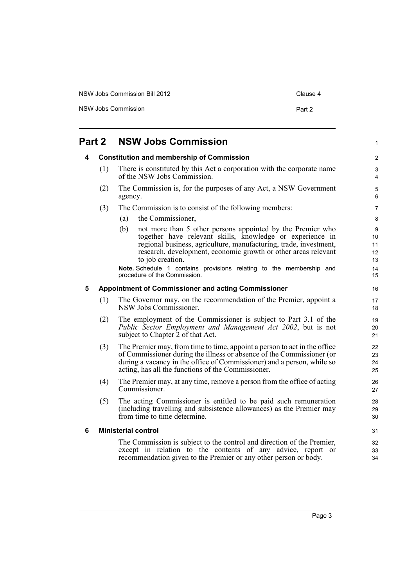| NSW Jobs Commission Bill 2012 | Clause 4 |
|-------------------------------|----------|
| NSW Jobs Commission           | Part 2   |

<span id="page-6-3"></span><span id="page-6-2"></span><span id="page-6-1"></span><span id="page-6-0"></span>

|   | Part 2 | <b>NSW Jobs Commission</b>                                                                                                                                                                                                                                                                | 1                         |
|---|--------|-------------------------------------------------------------------------------------------------------------------------------------------------------------------------------------------------------------------------------------------------------------------------------------------|---------------------------|
| 4 |        | <b>Constitution and membership of Commission</b>                                                                                                                                                                                                                                          | $\overline{c}$            |
|   | (1)    | There is constituted by this Act a corporation with the corporate name<br>of the NSW Jobs Commission.                                                                                                                                                                                     | 3<br>4                    |
|   | (2)    | The Commission is, for the purposes of any Act, a NSW Government<br>agency.                                                                                                                                                                                                               | 5<br>6                    |
|   | (3)    | The Commission is to consist of the following members:                                                                                                                                                                                                                                    | 7                         |
|   |        | the Commissioner,<br>(a)                                                                                                                                                                                                                                                                  | 8                         |
|   |        | not more than 5 other persons appointed by the Premier who<br>(b)<br>together have relevant skills, knowledge or experience in<br>regional business, agriculture, manufacturing, trade, investment,<br>research, development, economic growth or other areas relevant<br>to job creation. | 9<br>10<br>11<br>12<br>13 |
|   |        | Note. Schedule 1 contains provisions relating to the membership and<br>procedure of the Commission.                                                                                                                                                                                       | 14<br>15                  |
| 5 |        | <b>Appointment of Commissioner and acting Commissioner</b>                                                                                                                                                                                                                                | 16                        |
|   | (1)    | The Governor may, on the recommendation of the Premier, appoint a<br>NSW Jobs Commissioner.                                                                                                                                                                                               | 17<br>18                  |
|   | (2)    | The employment of the Commissioner is subject to Part 3.1 of the<br>Public Sector Employment and Management Act 2002, but is not<br>subject to Chapter 2 of that Act.                                                                                                                     | 19<br>20<br>21            |
|   | (3)    | The Premier may, from time to time, appoint a person to act in the office<br>of Commissioner during the illness or absence of the Commissioner (or<br>during a vacancy in the office of Commissioner) and a person, while so<br>acting, has all the functions of the Commissioner.        | 22<br>23<br>24<br>25      |
|   | (4)    | The Premier may, at any time, remove a person from the office of acting<br>Commissioner.                                                                                                                                                                                                  | 26<br>27                  |
|   | (5)    | The acting Commissioner is entitled to be paid such remuneration<br>(including travelling and subsistence allowances) as the Premier may<br>from time to time determine.                                                                                                                  | 28<br>29<br>30            |
| 6 |        | <b>Ministerial control</b>                                                                                                                                                                                                                                                                | 31                        |
|   |        | The Commission is subject to the control and direction of the Premier,<br>except in relation to the contents of any advice, report or<br>recommendation given to the Premier or any other person or body.                                                                                 | 32<br>33<br>34            |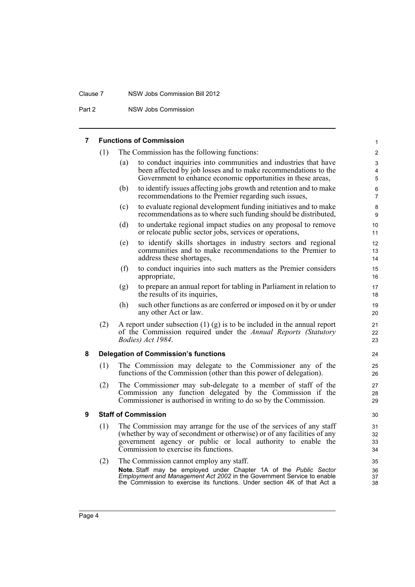#### Clause 7 NSW Jobs Commission Bill 2012

Part 2 NSW Jobs Commission

#### <span id="page-7-0"></span>**7 Functions of Commission**

<span id="page-7-2"></span><span id="page-7-1"></span>

| 7 |     | <b>Functions of Commission</b>                                                                                                                                                                                                                          | $\mathbf{1}$         |
|---|-----|---------------------------------------------------------------------------------------------------------------------------------------------------------------------------------------------------------------------------------------------------------|----------------------|
|   | (1) | The Commission has the following functions:                                                                                                                                                                                                             | $\overline{2}$       |
|   |     | to conduct inquiries into communities and industries that have<br>(a)<br>been affected by job losses and to make recommendations to the<br>Government to enhance economic opportunities in these areas,                                                 | 3<br>4<br>5          |
|   |     | to identify issues affecting jobs growth and retention and to make<br>(b)<br>recommendations to the Premier regarding such issues,                                                                                                                      | 6<br>$\overline{7}$  |
|   |     | to evaluate regional development funding initiatives and to make<br>(c)<br>recommendations as to where such funding should be distributed,                                                                                                              | 8<br>9               |
|   |     | to undertake regional impact studies on any proposal to remove<br>(d)<br>or relocate public sector jobs, services or operations,                                                                                                                        | 10<br>11             |
|   |     | to identify skills shortages in industry sectors and regional<br>(e)<br>communities and to make recommendations to the Premier to<br>address these shortages,                                                                                           | 12<br>13<br>14       |
|   |     | to conduct inquiries into such matters as the Premier considers<br>(f)<br>appropriate,                                                                                                                                                                  | 15<br>16             |
|   |     | to prepare an annual report for tabling in Parliament in relation to<br>(g)<br>the results of its inquiries,                                                                                                                                            | 17<br>18             |
|   |     | such other functions as are conferred or imposed on it by or under<br>(h)<br>any other Act or law.                                                                                                                                                      | 19<br>20             |
|   | (2) | A report under subsection $(1)$ $(g)$ is to be included in the annual report<br>of the Commission required under the Annual Reports (Statutory<br>Bodies) Act 1984.                                                                                     | 21<br>22<br>23       |
| 8 |     | <b>Delegation of Commission's functions</b>                                                                                                                                                                                                             | 24                   |
|   | (1) | The Commission may delegate to the Commissioner any of the<br>functions of the Commission (other than this power of delegation).                                                                                                                        | 25<br>26             |
|   | (2) | The Commissioner may sub-delegate to a member of staff of the<br>Commission any function delegated by the Commission if the<br>Commissioner is authorised in writing to do so by the Commission.                                                        | 27<br>28<br>29       |
| 9 |     | <b>Staff of Commission</b>                                                                                                                                                                                                                              | 30                   |
|   | (1) | The Commission may arrange for the use of the services of any staff<br>(whether by way of secondment or otherwise) or of any facilities of any<br>government agency or public or local authority to enable the<br>Commission to exercise its functions. | 31<br>32<br>33<br>34 |
|   | (2) | The Commission cannot employ any staff.                                                                                                                                                                                                                 | 35                   |
|   |     | Note. Staff may be employed under Chapter 1A of the Public Sector<br><i>Employment and Management Act 2002</i> in the Government Service to enable<br>the Commission to exercise its functions. Under section 4K of that Act a                          | 36<br>37<br>38       |
|   |     |                                                                                                                                                                                                                                                         |                      |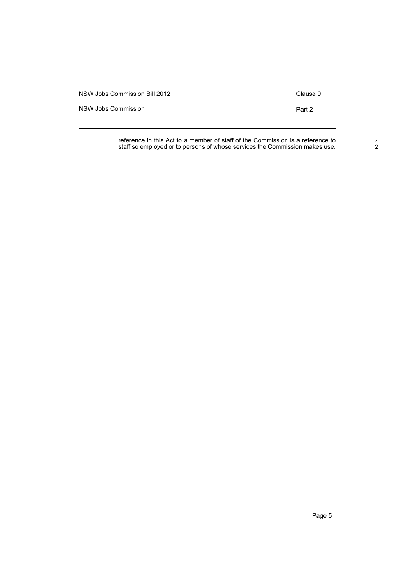NSW Jobs Commission Bill 2012 Clause 9

NSW Jobs Commission **Part 2** 

reference in this Act to a member of staff of the Commission is a reference to staff so employed or to persons of whose services the Commission makes use.

1 2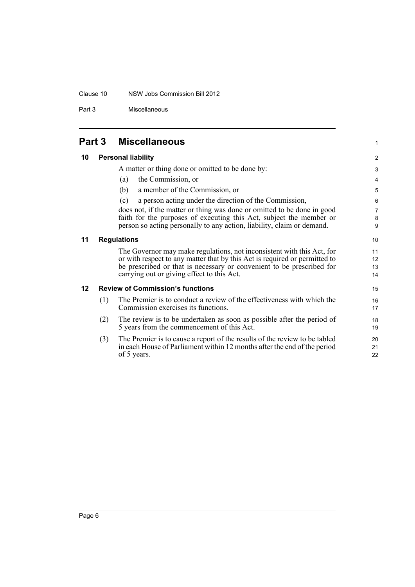#### Clause 10 NSW Jobs Commission Bill 2012

Part 3 Miscellaneous

### <span id="page-9-0"></span>**Part 3 Miscellaneous**

### <span id="page-9-1"></span>**10 Personal liability**

<span id="page-9-3"></span><span id="page-9-2"></span>**11 Regulations**

|     | A matter or thing done or omitted to be done by:                                                                                                                                                                                                                            | 3                                                                                                                                                                                                                     |
|-----|-----------------------------------------------------------------------------------------------------------------------------------------------------------------------------------------------------------------------------------------------------------------------------|-----------------------------------------------------------------------------------------------------------------------------------------------------------------------------------------------------------------------|
|     | the Commission, or                                                                                                                                                                                                                                                          | 4                                                                                                                                                                                                                     |
|     | a member of the Commission, or<br>(b)                                                                                                                                                                                                                                       | 5                                                                                                                                                                                                                     |
|     | a person acting under the direction of the Commission,<br>(c)                                                                                                                                                                                                               | 6                                                                                                                                                                                                                     |
|     | does not, if the matter or thing was done or omitted to be done in good                                                                                                                                                                                                     | $\overline{7}$                                                                                                                                                                                                        |
|     |                                                                                                                                                                                                                                                                             | 8                                                                                                                                                                                                                     |
|     |                                                                                                                                                                                                                                                                             | 9                                                                                                                                                                                                                     |
|     |                                                                                                                                                                                                                                                                             | 10                                                                                                                                                                                                                    |
|     | The Governor may make regulations, not inconsistent with this Act, for<br>or with respect to any matter that by this Act is required or permitted to<br>be prescribed or that is necessary or convenient to be prescribed for<br>carrying out or giving effect to this Act. | 11<br>12<br>13<br>14                                                                                                                                                                                                  |
|     |                                                                                                                                                                                                                                                                             | 15                                                                                                                                                                                                                    |
| (1) | The Premier is to conduct a review of the effectiveness with which the<br>Commission exercises its functions.                                                                                                                                                               | 16<br>17                                                                                                                                                                                                              |
| (2) | The review is to be undertaken as soon as possible after the period of<br>5 years from the commencement of this Act.                                                                                                                                                        | 18<br>19                                                                                                                                                                                                              |
| (3) | The Premier is to cause a report of the results of the review to be tabled<br>in each House of Parliament within 12 months after the end of the period<br>of 5 years.                                                                                                       | 20<br>21<br>22                                                                                                                                                                                                        |
|     |                                                                                                                                                                                                                                                                             | (a)<br>faith for the purposes of executing this Act, subject the member or<br>person so acting personally to any action, liability, claim or demand.<br><b>Regulations</b><br><b>Review of Commission's functions</b> |

1

2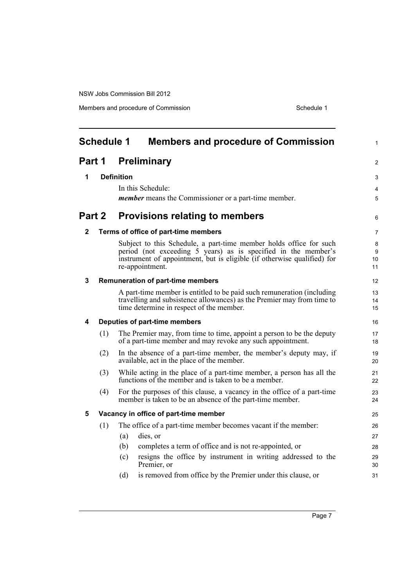<span id="page-10-0"></span>

| <b>Schedule 1</b><br><b>Members and procedure of Commission</b> |     |                                                                                                                                                                                                                                    |                    |  |
|-----------------------------------------------------------------|-----|------------------------------------------------------------------------------------------------------------------------------------------------------------------------------------------------------------------------------------|--------------------|--|
| <b>Preliminary</b><br>Part 1                                    |     |                                                                                                                                                                                                                                    |                    |  |
| 1                                                               |     | <b>Definition</b>                                                                                                                                                                                                                  | 3                  |  |
|                                                                 |     | In this Schedule:                                                                                                                                                                                                                  | 4                  |  |
|                                                                 |     | <i>member</i> means the Commissioner or a part-time member.                                                                                                                                                                        | 5                  |  |
| Part 2                                                          |     | <b>Provisions relating to members</b>                                                                                                                                                                                              | 6                  |  |
| 2                                                               |     | Terms of office of part-time members                                                                                                                                                                                               | $\overline{7}$     |  |
|                                                                 |     | Subject to this Schedule, a part-time member holds office for such<br>period (not exceeding 5 years) as is specified in the member's<br>instrument of appointment, but is eligible (if otherwise qualified) for<br>re-appointment. | 8<br>9<br>10<br>11 |  |
| 3                                                               |     | <b>Remuneration of part-time members</b>                                                                                                                                                                                           | 12                 |  |
|                                                                 |     | A part-time member is entitled to be paid such remuneration (including<br>travelling and subsistence allowances) as the Premier may from time to<br>time determine in respect of the member.                                       | 13<br>14<br>15     |  |
| 4                                                               |     | Deputies of part-time members                                                                                                                                                                                                      | 16                 |  |
|                                                                 | (1) | The Premier may, from time to time, appoint a person to be the deputy<br>of a part-time member and may revoke any such appointment.                                                                                                | 17<br>18           |  |
|                                                                 | (2) | In the absence of a part-time member, the member's deputy may, if<br>available, act in the place of the member.                                                                                                                    | 19<br>20           |  |
|                                                                 | (3) | While acting in the place of a part-time member, a person has all the<br>functions of the member and is taken to be a member.                                                                                                      | 21<br>22           |  |
|                                                                 | (4) | For the purposes of this clause, a vacancy in the office of a part-time<br>member is taken to be an absence of the part-time member.                                                                                               | 23<br>24           |  |
| 5                                                               |     | Vacancy in office of part-time member                                                                                                                                                                                              | 25                 |  |
|                                                                 | (1) | The office of a part-time member becomes vacant if the member:                                                                                                                                                                     | 26                 |  |
|                                                                 |     | dies, or<br>(a)                                                                                                                                                                                                                    | 27                 |  |
|                                                                 |     | completes a term of office and is not re-appointed, or<br>(b)                                                                                                                                                                      | 28                 |  |
|                                                                 |     | resigns the office by instrument in writing addressed to the<br>(c)<br>Premier, or                                                                                                                                                 | 29<br>30           |  |
|                                                                 |     | is removed from office by the Premier under this clause, or<br>(d)                                                                                                                                                                 | 31                 |  |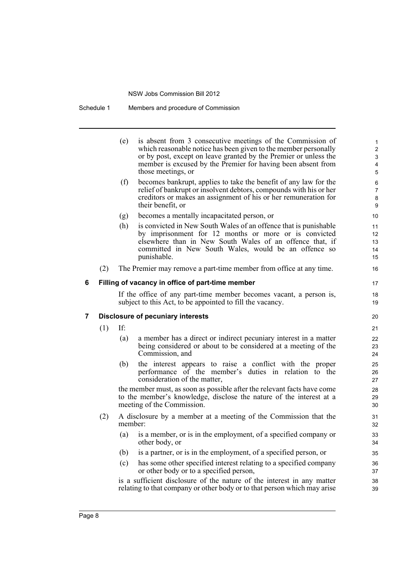Schedule 1 Members and procedure of Commission

| (e) | is absent from 3 consecutive meetings of the Commission of       |
|-----|------------------------------------------------------------------|
|     | which reasonable notice has been given to the member personally  |
|     | or by post, except on leave granted by the Premier or unless the |
|     | member is excused by the Premier for having been absent from     |
|     | those meetings, or                                               |
|     | becomes bonizunt, applies to take the benefit of any law for the |

17 18 19

- (f) becomes bankrupt, applies to take the benefit of any law for the relief of bankrupt or insolvent debtors, compounds with his or her creditors or makes an assignment of his or her remuneration for their benefit, or
- (g) becomes a mentally incapacitated person, or
- (h) is convicted in New South Wales of an offence that is punishable by imprisonment for 12 months or more or is convicted elsewhere than in New South Wales of an offence that, if committed in New South Wales, would be an offence so punishable.
- (2) The Premier may remove a part-time member from office at any time.

#### **6 Filling of vacancy in office of part-time member**

If the office of any part-time member becomes vacant, a person is, subject to this Act, to be appointed to fill the vacancy.

#### **7 Disclosure of pecuniary interests**

(1) If:

- (a) a member has a direct or indirect pecuniary interest in a matter being considered or about to be considered at a meeting of the Commission, and
- (b) the interest appears to raise a conflict with the proper performance of the member's duties in relation to the consideration of the matter,

the member must, as soon as possible after the relevant facts have come to the member's knowledge, disclose the nature of the interest at a meeting of the Commission.

- (2) A disclosure by a member at a meeting of the Commission that the member:
	- (a) is a member, or is in the employment, of a specified company or other body, or
	- (b) is a partner, or is in the employment, of a specified person, or
	- (c) has some other specified interest relating to a specified company or other body or to a specified person,

is a sufficient disclosure of the nature of the interest in any matter relating to that company or other body or to that person which may arise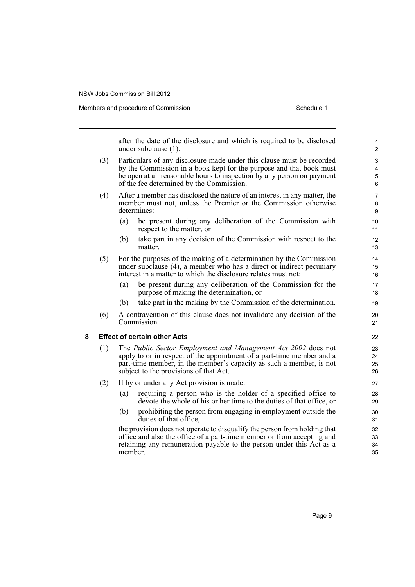Members and procedure of Commission Schedule 1

after the date of the disclosure and which is required to be disclosed under subclause (1).

- (3) Particulars of any disclosure made under this clause must be recorded by the Commission in a book kept for the purpose and that book must be open at all reasonable hours to inspection by any person on payment of the fee determined by the Commission.
- (4) After a member has disclosed the nature of an interest in any matter, the member must not, unless the Premier or the Commission otherwise determines:
	- (a) be present during any deliberation of the Commission with respect to the matter, or
	- (b) take part in any decision of the Commission with respect to the matter.
- (5) For the purposes of the making of a determination by the Commission under subclause (4), a member who has a direct or indirect pecuniary interest in a matter to which the disclosure relates must not:
	- (a) be present during any deliberation of the Commission for the purpose of making the determination, or
	- (b) take part in the making by the Commission of the determination.
- (6) A contravention of this clause does not invalidate any decision of the Commission.

#### **8 Effect of certain other Acts**

- (1) The *Public Sector Employment and Management Act 2002* does not apply to or in respect of the appointment of a part-time member and a part-time member, in the member's capacity as such a member, is not subject to the provisions of that Act.
- (2) If by or under any Act provision is made:
	- (a) requiring a person who is the holder of a specified office to devote the whole of his or her time to the duties of that office, or
	- (b) prohibiting the person from engaging in employment outside the duties of that office,

the provision does not operate to disqualify the person from holding that office and also the office of a part-time member or from accepting and retaining any remuneration payable to the person under this Act as a member.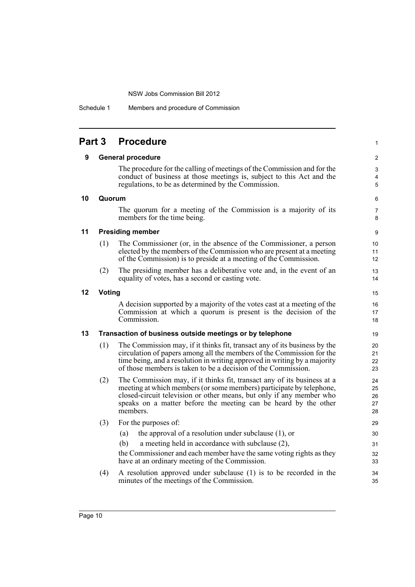Schedule 1 Members and procedure of Commission

| <b>Part 3</b> |        | <b>Procedure</b>                                                                                                                                                                                                                                                                                       | 1                          |
|---------------|--------|--------------------------------------------------------------------------------------------------------------------------------------------------------------------------------------------------------------------------------------------------------------------------------------------------------|----------------------------|
| 9             |        | <b>General procedure</b>                                                                                                                                                                                                                                                                               | 2                          |
|               |        | The procedure for the calling of meetings of the Commission and for the<br>conduct of business at those meetings is, subject to this Act and the<br>regulations, to be as determined by the Commission.                                                                                                | 3<br>4<br>5                |
| 10            | Quorum |                                                                                                                                                                                                                                                                                                        | 6                          |
|               |        | The quorum for a meeting of the Commission is a majority of its<br>members for the time being.                                                                                                                                                                                                         | 7<br>8                     |
| 11            |        | <b>Presiding member</b>                                                                                                                                                                                                                                                                                | 9                          |
|               | (1)    | The Commissioner (or, in the absence of the Commissioner, a person<br>elected by the members of the Commission who are present at a meeting<br>of the Commission) is to preside at a meeting of the Commission.                                                                                        | 10<br>11<br>12             |
|               | (2)    | The presiding member has a deliberative vote and, in the event of an<br>equality of votes, has a second or casting vote.                                                                                                                                                                               | 13<br>14                   |
| 12            | Voting |                                                                                                                                                                                                                                                                                                        |                            |
|               |        | A decision supported by a majority of the votes cast at a meeting of the<br>Commission at which a quorum is present is the decision of the<br>Commission.                                                                                                                                              | 16<br>17<br>18             |
| 13            |        | Transaction of business outside meetings or by telephone                                                                                                                                                                                                                                               | 19                         |
|               | (1)    | The Commission may, if it thinks fit, transact any of its business by the<br>circulation of papers among all the members of the Commission for the<br>time being, and a resolution in writing approved in writing by a majority<br>of those members is taken to be a decision of the Commission.       | 20<br>21<br>22<br>23       |
|               | (2)    | The Commission may, if it thinks fit, transact any of its business at a<br>meeting at which members (or some members) participate by telephone,<br>closed-circuit television or other means, but only if any member who<br>speaks on a matter before the meeting can be heard by the other<br>members. | 24<br>25<br>26<br>27<br>28 |
|               | (3)    | For the purposes of:                                                                                                                                                                                                                                                                                   | 29                         |
|               |        | the approval of a resolution under subclause $(1)$ , or<br>(a)                                                                                                                                                                                                                                         | 30                         |
|               |        | (b)<br>a meeting held in accordance with subclause (2),                                                                                                                                                                                                                                                | 31                         |
|               |        | the Commissioner and each member have the same voting rights as they<br>have at an ordinary meeting of the Commission.                                                                                                                                                                                 | 32<br>33                   |
|               | (4)    | A resolution approved under subclause (1) is to be recorded in the<br>minutes of the meetings of the Commission.                                                                                                                                                                                       | 34<br>35                   |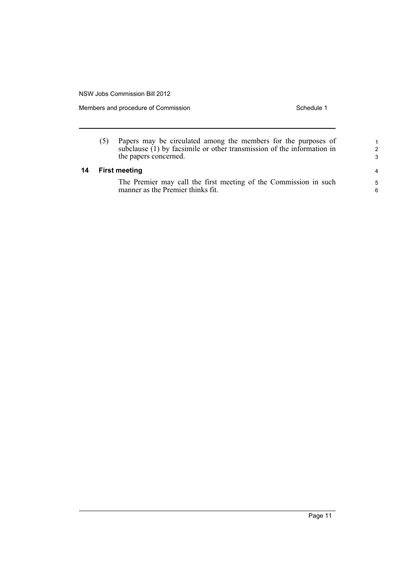**14 First meeting**

Members and procedure of Commission Schedule 1

| (5) | Papers may be circulated among the members for the purposes of<br>subclause $(1)$ by facsimile or other transmission of the information in<br>the papers concerned. | 1<br>$\mathcal{P}$<br>3 |
|-----|---------------------------------------------------------------------------------------------------------------------------------------------------------------------|-------------------------|
|     | <b>First meeting</b>                                                                                                                                                | 4                       |
|     | The Premier may call the first meeting of the Commission in such<br>manner as the Premier thinks fit.                                                               | $5^{\circ}$<br>6        |